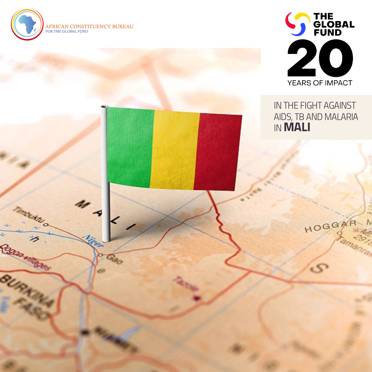

Caparine



## *IN THE FIGHT AGAINST AIDS, TB AND MALARIA IN* **MALI**

HOGGAR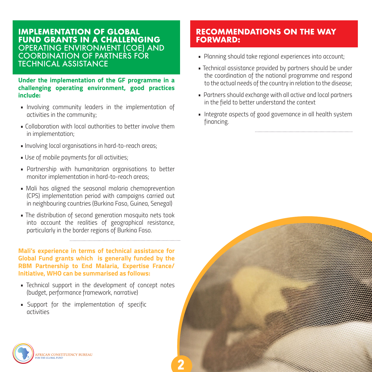## **IMPLEMENTATION OF GLOBAL FUND GRANTS IN A CHALLENGING**  OPERATING ENVIRONMENT (COE) AND COORDINATION OF PARTNERS FOR TECHNICAL ASSISTANCE

**Under the implementation of the GF programme in a challenging operating environment, good practices include:**

- *Involving community leaders in the implementation of activities in the community;*
- *Collaboration with local authorities to better involve them in implementation;*
- *Involving local organisations in hard-to-reach areas;*
- *Use of mobile payments for all activities;*
- *Partnership with humanitarian organisations to better monitor implementation in hard-to-reach areas;*
- *Mali has aligned the seasonal malaria chemoprevention (CPS) implementation period with campaigns carried out in neighbouring countries (Burkina Faso, Guinea, Senegal)*
- *The distribution of second generation mosquito nets took into account the realities of geographical resistance, particularly in the border regions of Burkina Faso.*

**Mali's experience in terms of technical assistance for Global Fund grants which is generally funded by the RBM Partnership to End Malaria, Expertise France/ Initiative, WHO can be summarised as follows:**

- *Technical support in the development of concept notes (budget, performance framework, narrative)*
- *Support for the implementation of specific activities*

## **RECOMMENDATIONS ON THE WAY FORWARD:**

- *Planning should take regional experiences into account;*
- *Technical assistance provided by partners should be under the coordination of the national programme and respond to the actual needs of the country in relation to the disease;*
- *Partners should exchange with all active and local partners in the field to better understand the context*
- **Integrate aspects of good governance in all health system** *financing.*